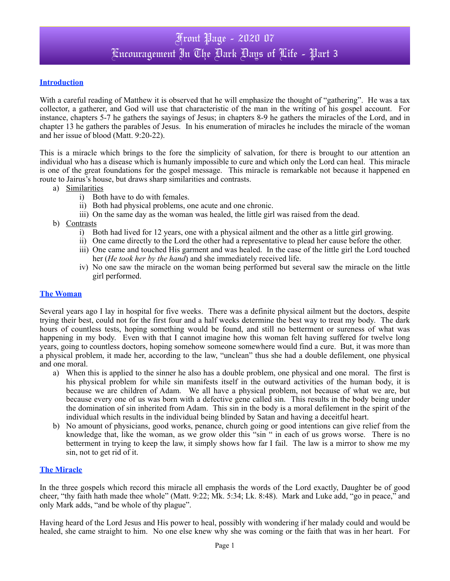# Front Page - 2020 07 Encouragement In The Dark Days of Life - Part 3

### **Introduction**

With a careful reading of Matthew it is observed that he will emphasize the thought of "gathering". He was a tax collector, a gatherer, and God will use that characteristic of the man in the writing of his gospel account. For instance, chapters 5-7 he gathers the sayings of Jesus; in chapters 8-9 he gathers the miracles of the Lord, and in chapter 13 he gathers the parables of Jesus. In his enumeration of miracles he includes the miracle of the woman and her issue of blood (Matt. 9:20-22).

This is a miracle which brings to the fore the simplicity of salvation, for there is brought to our attention an individual who has a disease which is humanly impossible to cure and which only the Lord can heal. This miracle is one of the great foundations for the gospel message. This miracle is remarkable not because it happened en route to Jairus's house, but draws sharp similarities and contrasts.

- a) Similarities
	- i) Both have to do with females.
	- ii) Both had physical problems, one acute and one chronic.
	- iii) On the same day as the woman was healed, the little girl was raised from the dead.
- b) Contrasts
	- i) Both had lived for 12 years, one with a physical ailment and the other as a little girl growing.
	- ii) One came directly to the Lord the other had a representative to plead her cause before the other.
	- iii) One came and touched His garment and was healed. In the case of the little girl the Lord touched her (*He took her by the hand*) and she immediately received life.
	- iv) No one saw the miracle on the woman being performed but several saw the miracle on the little girl performed.

#### **The Woman**

Several years ago I lay in hospital for five weeks. There was a definite physical ailment but the doctors, despite trying their best, could not for the first four and a half weeks determine the best way to treat my body. The dark hours of countless tests, hoping something would be found, and still no betterment or sureness of what was happening in my body. Even with that I cannot imagine how this woman felt having suffered for twelve long years, going to countless doctors, hoping somehow someone somewhere would find a cure. But, it was more than a physical problem, it made her, according to the law, "unclean" thus she had a double defilement, one physical and one moral.

- a) When this is applied to the sinner he also has a double problem, one physical and one moral. The first is his physical problem for while sin manifests itself in the outward activities of the human body, it is because we are children of Adam. We all have a physical problem, not because of what we are, but because every one of us was born with a defective gene called sin. This results in the body being under the domination of sin inherited from Adam. This sin in the body is a moral defilement in the spirit of the individual which results in the individual being blinded by Satan and having a deceitful heart.
- b) No amount of physicians, good works, penance, church going or good intentions can give relief from the knowledge that, like the woman, as we grow older this "sin " in each of us grows worse. There is no betterment in trying to keep the law, it simply shows how far I fail. The law is a mirror to show me my sin, not to get rid of it.

#### **The Miracle**

In the three gospels which record this miracle all emphasis the words of the Lord exactly, Daughter be of good cheer, "thy faith hath made thee whole" (Matt. 9:22; Mk. 5:34; Lk. 8:48). Mark and Luke add, "go in peace," and only Mark adds, "and be whole of thy plague".

Having heard of the Lord Jesus and His power to heal, possibly with wondering if her malady could and would be healed, she came straight to him. No one else knew why she was coming or the faith that was in her heart. For